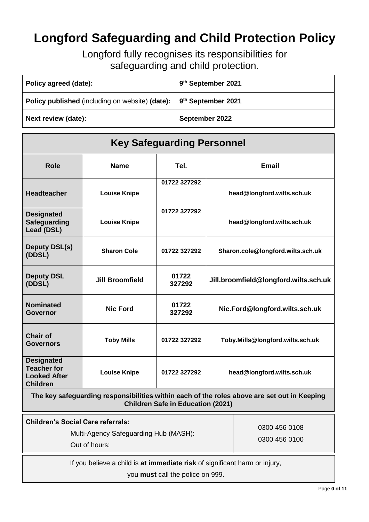# **Longford Safeguarding and Child Protection Policy**

Longford fully recognises its responsibilities for safeguarding and child protection.

| Policy agreed (date):                                                                 | 9 <sup>th</sup> September 2021 |
|---------------------------------------------------------------------------------------|--------------------------------|
| <b>Policy published</b> (including on website) (date): 9 <sup>th</sup> September 2021 |                                |
| Next review (date):                                                                   | September 2022                 |

| <b>Key Safeguarding Personnel</b>                                                                                                       |                        |                 |                                       |  |
|-----------------------------------------------------------------------------------------------------------------------------------------|------------------------|-----------------|---------------------------------------|--|
| <b>Role</b>                                                                                                                             | <b>Name</b>            | Tel.            | <b>Email</b>                          |  |
| <b>Headteacher</b>                                                                                                                      | <b>Louise Knipe</b>    | 01722 327292    | head@longford.wilts.sch.uk            |  |
| <b>Designated</b><br><b>Safeguarding</b><br>Lead (DSL)                                                                                  | <b>Louise Knipe</b>    | 01722 327292    | head@longford.wilts.sch.uk            |  |
| <b>Deputy DSL(s)</b><br>(DDSL)                                                                                                          | <b>Sharon Cole</b>     | 01722 327292    | Sharon.cole@longford.wilts.sch.uk     |  |
| <b>Deputy DSL</b><br>(DDSL)                                                                                                             | <b>Jill Broomfield</b> | 01722<br>327292 | Jill.broomfield@longford.wilts.sch.uk |  |
| <b>Nominated</b><br><b>Governor</b>                                                                                                     | <b>Nic Ford</b>        | 01722<br>327292 | Nic.Ford@longford.wilts.sch.uk        |  |
| <b>Chair of</b><br><b>Governors</b>                                                                                                     | <b>Toby Mills</b>      | 01722 327292    | Toby.Mills@longford.wilts.sch.uk      |  |
| <b>Designated</b><br><b>Teacher for</b><br><b>Looked After</b><br><b>Children</b>                                                       | <b>Louise Knipe</b>    | 01722 327292    | head@longford.wilts.sch.uk            |  |
| The key safeguarding responsibilities within each of the roles above are set out in Keeping<br><b>Children Safe in Education (2021)</b> |                        |                 |                                       |  |
| <b>Children's Social Care referrals:</b>                                                                                                |                        |                 |                                       |  |

Multi-Agency Safeguarding Hub (MASH): Out of hours:

0300 456 0108 0300 456 0100

If you believe a child is **at immediate risk** of significant harm or injury,

you **must** call the police on 999.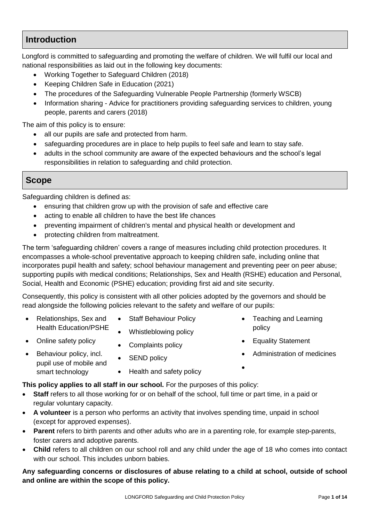# **Introduction**

Longford is committed to safeguarding and promoting the welfare of children. We will fulfil our local and national responsibilities as laid out in the following key documents:

- Working Together to Safeguard Children (2018)
- Keeping Children Safe in Education (2021)
- [The procedures of the](http://www.proceduresonline.com/birmingham/scb/) Safeguarding Vulnerable People Partnership (formerly WSCB)
- Information sharing Advice for practitioners providing safeguarding services to children, young people, parents and carers (2018)

The aim of this policy is to ensure:

- all our pupils are safe and protected from harm.
- safeguarding procedures are in place to help pupils to feel safe and learn to stay safe.
- adults in the school community are aware of the expected behaviours and the school's legal responsibilities in relation to safeguarding and child protection.

# **Scope**

Safeguarding children is defined as:

- ensuring that children grow up with the provision of safe and effective care
- acting to enable all children to have the best life chances
- preventing impairment of children's mental and physical health or development and
- protecting children from maltreatment.

The term 'safeguarding children' covers a range of measures including child protection procedures. It encompasses a whole-school preventative approach to keeping children safe, including online that incorporates pupil health and safety; school behaviour management and preventing peer on peer abuse; supporting pupils with medical conditions; Relationships, Sex and Health (RSHE) education and Personal, Social, Health and Economic (PSHE) education; providing first aid and site security.

Consequently, this policy is consistent with all other policies adopted by the governors and should be read alongside the following policies relevant to the safety and welfare of our pupils:

- Relationships, Sex and Health Education/PSHE
- Staff Behaviour Policy
- Whistleblowing policy

• Complaints policy

- Online safety policy
- Behaviour policy, incl. pupil use of mobile and smart technology
- SEND policy
- Health and safety policy

**This policy applies to all staff in our school.** For the purposes of this policy:

- **Staff** refers to all those working for or on behalf of the school, full time or part time, in a paid or regular voluntary capacity.
- **A volunteer** is a person who performs an activity that involves spending time, unpaid in school (except for approved expenses).
- **Parent** refers to birth parents and other adults who are in a parenting role, for example step-parents, foster carers and adoptive parents.
- **Child** refers to all children on our school roll and any child under the age of 18 who comes into contact with our school. This includes unborn babies.

**Any safeguarding concerns or disclosures of abuse relating to a child at school, outside of school and online are within the scope of this policy.**

- Teaching and Learning policy
- Equality Statement

 $\bullet$ 

Administration of medicines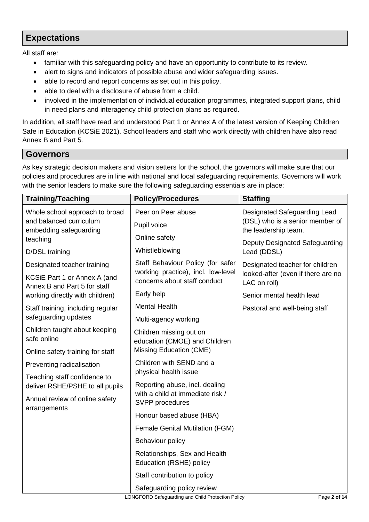# **Expectations**

All staff are:

- familiar with this safeguarding policy and have an opportunity to contribute to its review.
- alert to signs and indicators of possible abuse and wider safeguarding issues.
- able to record and report concerns as set out in this policy.
- able to deal with a disclosure of abuse from a child.
- involved in the implementation of individual education programmes, integrated support plans, child in need plans and interagency child protection plans as required.

In addition, all staff have read and understood Part 1 or Annex A of the latest version of Keeping Children Safe in Education (KCSiE 2021). School leaders and staff who work directly with children have also read Annex B and Part 5.

# **Governors**

As key strategic decision makers and vision setters for the school, the governors will make sure that our policies and procedures are in line with national and local safeguarding requirements. Governors will work with the senior leaders to make sure the following safeguarding essentials are in place:

| <b>Training/Teaching</b>                                      | <b>Policy/Procedures</b>                                               | <b>Staffing</b>                                                                       |  |
|---------------------------------------------------------------|------------------------------------------------------------------------|---------------------------------------------------------------------------------------|--|
| Whole school approach to broad                                | Peer on Peer abuse                                                     | Designated Safeguarding Lead                                                          |  |
| and balanced curriculum<br>embedding safeguarding<br>teaching | (DSL) who is a senior member of<br>Pupil voice<br>the leadership team. |                                                                                       |  |
|                                                               | Online safety                                                          | Deputy Designated Safeguarding                                                        |  |
| D/DSL training                                                | Whistleblowing                                                         | Lead (DDSL)                                                                           |  |
| Designated teacher training                                   | Staff Behaviour Policy (for safer                                      | Designated teacher for children<br>looked-after (even if there are no<br>LAC on roll) |  |
| KCSiE Part 1 or Annex A (and<br>Annex B and Part 5 for staff  | working practice), incl. low-level<br>concerns about staff conduct     |                                                                                       |  |
| working directly with children)                               | Early help                                                             | Senior mental health lead                                                             |  |
| Staff training, including regular<br>safeguarding updates     | <b>Mental Health</b>                                                   | Pastoral and well-being staff                                                         |  |
|                                                               | Multi-agency working                                                   |                                                                                       |  |
| Children taught about keeping<br>safe online                  | Children missing out on<br>education (CMOE) and Children               |                                                                                       |  |
| Online safety training for staff                              | Missing Education (CME)                                                |                                                                                       |  |
| Preventing radicalisation                                     | Children with SEND and a                                               |                                                                                       |  |
| Teaching staff confidence to                                  | physical health issue                                                  |                                                                                       |  |
| deliver RSHE/PSHE to all pupils                               | Reporting abuse, incl. dealing<br>with a child at immediate risk /     |                                                                                       |  |
| Annual review of online safety<br>arrangements                | SVPP procedures                                                        |                                                                                       |  |
|                                                               | Honour based abuse (HBA)                                               |                                                                                       |  |
|                                                               | <b>Female Genital Mutilation (FGM)</b>                                 |                                                                                       |  |
|                                                               | Behaviour policy                                                       |                                                                                       |  |
|                                                               | Relationships, Sex and Health<br>Education (RSHE) policy               |                                                                                       |  |
|                                                               | Staff contribution to policy                                           |                                                                                       |  |
|                                                               | Safeguarding policy review                                             |                                                                                       |  |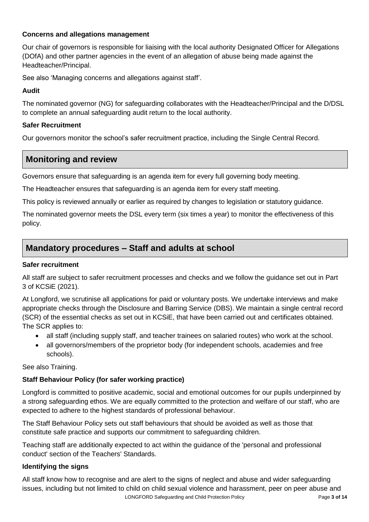### **Concerns and allegations management**

Our chair of governors is responsible for liaising with the local authority Designated Officer for Allegations (DOfA) and other partner agencies in the event of an allegation of abuse being made against the Headteacher/Principal.

See also 'Managing concerns and allegations against staff'.

# **Audit**

The nominated governor (NG) for safeguarding collaborates with the Headteacher/Principal and the D/DSL to complete an annual safeguarding audit return to the local authority.

# **Safer Recruitment**

Our governors monitor the school's safer recruitment practice, including the Single Central Record.

# **Monitoring and review**

Governors ensure that safeguarding is an agenda item for every full governing body meeting.

The Headteacher ensures that safeguarding is an agenda item for every staff meeting.

This policy is reviewed annually or earlier as required by changes to legislation or statutory guidance.

The nominated governor meets the DSL every term (six times a year) to monitor the effectiveness of this policy.

# **Mandatory procedures – Staff and adults at school**

### **Safer recruitment**

All staff are subject to safer recruitment processes and checks and we follow the guidance set out in Part 3 of KCSiE (2021).

At Longford, we scrutinise all applications for paid or voluntary posts. We undertake interviews and make appropriate checks through the Disclosure and Barring Service (DBS). We maintain a single central record (SCR) of the essential checks as set out in KCSiE, that have been carried out and certificates obtained. The SCR applies to:

- all staff (including supply staff, and teacher trainees on salaried routes) who work at the school.
- all governors/members of the proprietor body (for independent schools, academies and free schools).

### See also Training.

# **Staff Behaviour Policy (for safer working practice)**

Longford is committed to positive academic, social and emotional outcomes for our pupils underpinned by a strong safeguarding ethos. We are equally committed to the protection and welfare of our staff, who are expected to adhere to the highest standards of professional behaviour.

The Staff Behaviour Policy sets out staff behaviours that should be avoided as well as those that constitute safe practice and supports our commitment to safeguarding children.

Teaching staff are additionally expected to act within the guidance of the 'personal and professional conduct' section of the Teachers' Standards.

### **Identifying the signs**

LONGFORD Safeguarding and Child Protection Policy Page **3 of 14** All staff know how to recognise and are alert to the signs of neglect and abuse and wider safeguarding issues, including but not limited to child on child sexual violence and harassment, peer on peer abuse and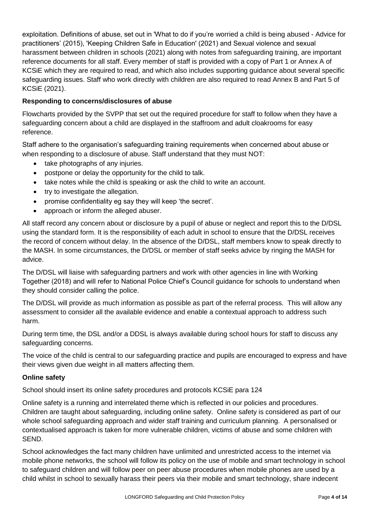exploitation. Definitions of abuse, set out in 'What to do if you're worried a child is being abused - Advice for practitioners' (2015), 'Keeping Children Safe in Education' (2021) and Sexual violence and sexual harassment between children in schools (2021) along with notes from safeguarding training, are important reference documents for all staff. Every member of staff is provided with a copy of Part 1 or Annex A of KCSiE which they are required to read, and which also includes supporting guidance about several specific safeguarding issues. Staff who work directly with children are also required to read Annex B and Part 5 of KCSiE (2021).

### **Responding to concerns/disclosures of abuse**

Flowcharts provided by the SVPP that set out the required procedure for staff to follow when they have a safeguarding concern about a child are displayed in the staffroom and adult cloakrooms for easy reference.

Staff adhere to the organisation's safeguarding training requirements when concerned about abuse or when responding to a disclosure of abuse. Staff understand that they must NOT:

- take photographs of any injuries.
- postpone or delay the opportunity for the child to talk.
- take notes while the child is speaking or ask the child to write an account.
- try to investigate the allegation.
- promise confidentiality eg say they will keep 'the secret'.
- approach or inform the alleged abuser.

All staff record any concern about or disclosure by a pupil of abuse or neglect and report this to the D/DSL using the standard form. It is the responsibility of each adult in school to ensure that the D/DSL receives the record of concern without delay. In the absence of the D/DSL, staff members know to speak directly to the MASH. In some circumstances, the D/DSL or member of staff seeks advice by ringing the MASH for advice.

The D/DSL will liaise with safeguarding partners and work with other agencies in line with Working Together (2018) and will refer to National Police Chief's Council guidance for schools to understand when they should consider calling the police.

The D/DSL will provide as much information as possible as part of the referral process. This will allow any assessment to consider all the available evidence and enable a contextual approach to address such harm.

During term time, the DSL and/or a DDSL is always available during school hours for staff to discuss any safeguarding concerns.

The voice of the child is central to our safeguarding practice and pupils are encouraged to express and have their views given due weight in all matters affecting them.

### **Online safety**

School should insert its online safety procedures and protocols KCSiE para 124

Online safety is a running and interrelated theme which is reflected in our policies and procedures. Children are taught about safeguarding, including online safety. Online safety is considered as part of our whole school safeguarding approach and wider staff training and curriculum planning. A personalised or contextualised approach is taken for more vulnerable children, victims of abuse and some children with SEND.

School acknowledges the fact many children have unlimited and unrestricted access to the internet via mobile phone networks, the school will follow its policy on the use of mobile and smart technology in school to safeguard children and will follow peer on peer abuse procedures when mobile phones are used by a child whilst in school to sexually harass their peers via their mobile and smart technology, share indecent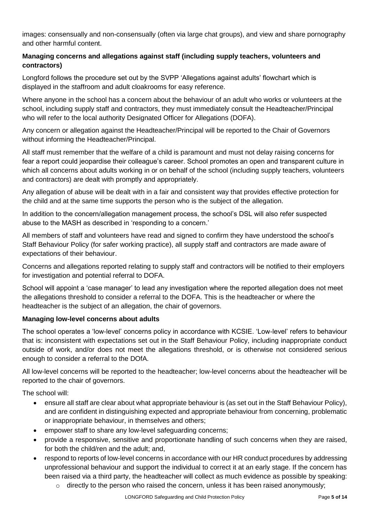images: consensually and non-consensually (often via large chat groups), and view and share pornography and other harmful content.

### **Managing concerns and allegations against staff (including supply teachers, volunteers and contractors)**

Longford follows the procedure set out by the SVPP 'Allegations against adults' flowchart which is displayed in the staffroom and adult cloakrooms for easy reference.

Where anyone in the school has a concern about the behaviour of an adult who works or volunteers at the school, including supply staff and contractors, they must immediately consult the Headteacher/Principal who will refer to the local authority Designated Officer for Allegations (DOFA).

Any concern or allegation against the Headteacher/Principal will be reported to the Chair of Governors without informing the Headteacher/Principal.

All staff must remember that the welfare of a child is paramount and must not delay raising concerns for fear a report could jeopardise their colleague's career. School promotes an open and transparent culture in which all concerns about adults working in or on behalf of the school (including supply teachers, volunteers and contractors) are dealt with promptly and appropriately.

Any allegation of abuse will be dealt with in a fair and consistent way that provides effective protection for the child and at the same time supports the person who is the subject of the allegation.

In addition to the concern/allegation management process, the school's DSL will also refer suspected abuse to the MASH as described in 'responding to a concern.'

All members of staff and volunteers have read and signed to confirm they have understood the school's Staff Behaviour Policy (for safer working practice), all supply staff and contractors are made aware of expectations of their behaviour.

Concerns and allegations reported relating to supply staff and contractors will be notified to their employers for investigation and potential referral to DOFA.

School will appoint a 'case manager' to lead any investigation where the reported allegation does not meet the allegations threshold to consider a referral to the DOFA. This is the headteacher or where the headteacher is the subject of an allegation, the chair of governors.

### **Managing low-level concerns about adults**

The school operates a 'low-level' concerns policy in accordance with KCSIE. 'Low-level' refers to behaviour that is: inconsistent with expectations set out in the Staff Behaviour Policy, including inappropriate conduct outside of work, and/or does not meet the allegations threshold, or is otherwise not considered serious enough to consider a referral to the DOfA.

All low-level concerns will be reported to the headteacher; low-level concerns about the headteacher will be reported to the chair of governors.

The school will:

- ensure all staff are clear about what appropriate behaviour is (as set out in the Staff Behaviour Policy), and are confident in distinguishing expected and appropriate behaviour from concerning, problematic or inappropriate behaviour, in themselves and others;
- empower staff to share any low-level safeguarding concerns;
- provide a responsive, sensitive and proportionate handling of such concerns when they are raised, for both the child/ren and the adult; and,
- respond to reports of low-level concerns in accordance with our HR conduct procedures by addressing unprofessional behaviour and support the individual to correct it at an early stage. If the concern has been raised via a third party, the headteacher will collect as much evidence as possible by speaking:
	- $\circ$  directly to the person who raised the concern, unless it has been raised anonymously;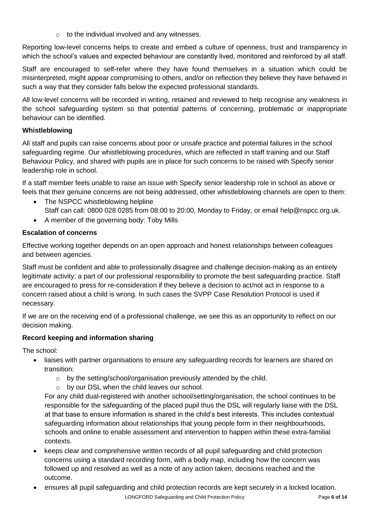$\circ$  to the individual involved and any witnesses.

Reporting low-level concerns helps to create and embed a culture of openness, trust and transparency in which the school's values and expected behaviour are constantly lived, monitored and reinforced by all staff.

Staff are encouraged to self-refer where they have found themselves in a situation which could be misinterpreted, might appear compromising to others, and/or on reflection they believe they have behaved in such a way that they consider falls below the expected professional standards.

All low-level concerns will be recorded in writing, retained and reviewed to help recognise any weakness in the school safeguarding system so that potential patterns of concerning, problematic or inappropriate behaviour can be identified.

### **Whistleblowing**

All staff and pupils can raise concerns about poor or unsafe practice and potential failures in the school safeguarding regime. Our whistleblowing procedures, which are reflected in staff training and our Staff Behaviour Policy, and shared with pupils are in place for such concerns to be raised with Specify senior leadership role in school.

If a staff member feels unable to raise an issue with Specify senior leadership role in school as above or feels that their genuine concerns are not being addressed, other whistleblowing channels are open to them:

- The NSPCC whistleblowing helpline Staff can call: 0800 028 0285 from 08:00 to 20:00, Monday to Friday, or email help@nspcc.org.uk.
- A member of the governing body: Toby Mills

# **Escalation of concerns**

Effective working together depends on an open approach and honest relationships between colleagues and between agencies.

Staff must be confident and able to professionally disagree and challenge decision-making as an entirely legitimate activity; a part of our professional responsibility to promote the best safeguarding practice. Staff are encouraged to press for re-consideration if they believe a decision to act/not act in response to a concern raised about a child is wrong. In such cases the SVPP Case Resolution Protocol is used if necessary.

If we are on the receiving end of a professional challenge, we see this as an opportunity to reflect on our decision making.

# **Record keeping and information sharing**

The school:

- liaises with partner organisations to ensure any safeguarding records for learners are shared on transition:
	- o by the setting/school/organisation previously attended by the child.
	- o by our DSL when the child leaves our school.

For any child dual-registered with another school/setting/organisation, the school continues to be responsible for the safeguarding of the placed pupil thus the DSL will regularly liaise with the DSL at that base to ensure information is shared in the child's best interests. This includes contextual safeguarding information about relationships that young people form in their neighbourhoods, schools and online to enable assessment and intervention to happen within these extra-familial contexts.

- keeps clear and comprehensive written records of all pupil safeguarding and child protection concerns using a standard recording form, with a body map, including how the concern was followed up and resolved as well as a note of any action taken, decisions reached and the outcome.
- ensures all pupil safeguarding and child protection records are kept securely in a locked location.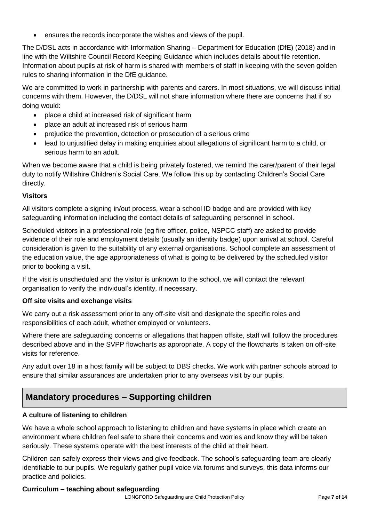ensures the records incorporate the wishes and views of the pupil.

The D/DSL acts in accordance with Information Sharing – Department for Education (DfE) (2018) and in line with the Wiltshire Council Record Keeping Guidance which includes details about file retention. Information about pupils at risk of harm is shared with members of staff in keeping with the seven golden rules to sharing information in the DfE guidance.

We are committed to work in partnership with parents and carers. In most situations, we will discuss initial concerns with them. However, the D/DSL will not share information where there are concerns that if so doing would:

- place a child at increased risk of significant harm
- place an adult at increased risk of serious harm
- prejudice the prevention, detection or prosecution of a serious crime
- lead to unjustified delay in making enquiries about allegations of significant harm to a child, or serious harm to an adult.

When we become aware that a child is being privately fostered, we remind the carer/parent of their legal duty to notify Wiltshire Children's Social Care. We follow this up by contacting Children's Social Care directly.

#### **Visitors**

All visitors complete a signing in/out process, wear a school ID badge and are provided with key safeguarding information including the contact details of safeguarding personnel in school.

Scheduled visitors in a professional role (eg fire officer, police, NSPCC staff) are asked to provide evidence of their role and employment details (usually an identity badge) upon arrival at school. Careful consideration is given to the suitability of any external organisations. School complete an assessment of the education value, the age appropriateness of what is going to be delivered by the scheduled visitor prior to booking a visit.

If the visit is unscheduled and the visitor is unknown to the school, we will contact the relevant organisation to verify the individual's identity, if necessary.

#### **Off site visits and exchange visits**

We carry out a risk assessment prior to any off-site visit and designate the specific roles and responsibilities of each adult, whether employed or volunteers.

Where there are safeguarding concerns or allegations that happen offsite, staff will follow the procedures described above and in the SVPP flowcharts as appropriate. A copy of the flowcharts is taken on off-site visits for reference.

Any adult over 18 in a host family will be subject to DBS checks. We work with partner schools abroad to ensure that similar assurances are undertaken prior to any overseas visit by our pupils.

# **Mandatory procedures – Supporting children**

#### **A culture of listening to children**

We have a whole school approach to listening to children and have systems in place which create an environment where children feel safe to share their concerns and worries and know they will be taken seriously. These systems operate with the best interests of the child at their heart.

Children can safely express their views and give feedback. The school's safeguarding team are clearly identifiable to our pupils. We regularly gather pupil voice via forums and surveys, this data informs our practice and policies.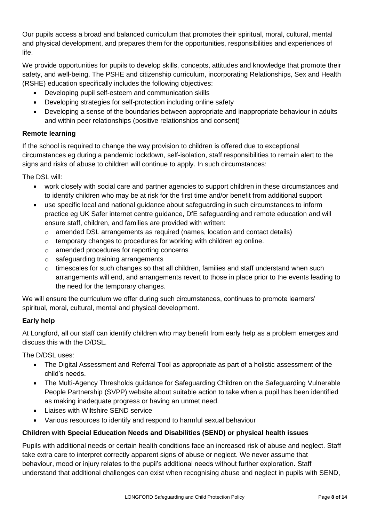Our pupils access a broad and balanced curriculum that promotes their spiritual, moral, cultural, mental and physical development, and prepares them for the opportunities, responsibilities and experiences of life.

We provide opportunities for pupils to develop skills, concepts, attitudes and knowledge that promote their safety, and well-being. The PSHE and citizenship curriculum, incorporating Relationships, Sex and Health (RSHE) education specifically includes the following objectives:

- Developing pupil self-esteem and communication skills
- Developing strategies for self-protection including online safety
- Developing a sense of the boundaries between appropriate and inappropriate behaviour in adults and within peer relationships (positive relationships and consent)

# **Remote learning**

If the school is required to change the way provision to children is offered due to exceptional circumstances eg during a pandemic lockdown, self-isolation, staff responsibilities to remain alert to the signs and risks of abuse to children will continue to apply. In such circumstances:

The DSL will:

- work closely with social care and partner agencies to support children in these circumstances and to identify children who may be at risk for the first time and/or benefit from additional support
- use specific local and national guidance about safeguarding in such circumstances to inform practice eg UK Safer internet centre guidance, DfE safeguarding and remote education and will ensure staff, children, and families are provided with written:
	- $\circ$  amended DSL arrangements as required (names, location and contact details)
	- $\circ$  temporary changes to procedures for working with children eg online.
	- o amended procedures for reporting concerns
	- o safeguarding training arrangements
	- $\circ$  timescales for such changes so that all children, families and staff understand when such arrangements will end, and arrangements revert to those in place prior to the events leading to the need for the temporary changes.

We will ensure the curriculum we offer during such circumstances, continues to promote learners' spiritual, moral, cultural, mental and physical development.

# **Early help**

At Longford, all our staff can identify children who may benefit from early help as a problem emerges and discuss this with the D/DSL.

The D/DSL uses:

- The Digital Assessment and Referral Tool as appropriate as part of a holistic assessment of the child's needs.
- The Multi-Agency Thresholds guidance for Safeguarding Children on the Safeguarding Vulnerable People Partnership (SVPP) website about suitable action to take when a pupil has been identified as making inadequate progress or having an unmet need.
- Liaises with Wiltshire SEND service
- Various resources to identify and respond to harmful sexual behaviour

# **Children with Special Education Needs and Disabilities (SEND) or physical health issues**

Pupils with additional needs or certain health conditions face an increased risk of abuse and neglect. Staff take extra care to interpret correctly apparent signs of abuse or neglect. We never assume that behaviour, mood or injury relates to the pupil's additional needs without further exploration. Staff understand that additional challenges can exist when recognising abuse and neglect in pupils with SEND,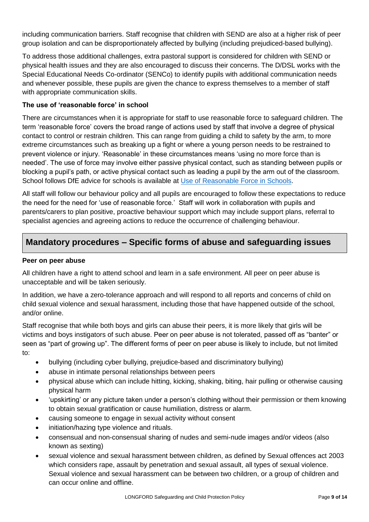including communication barriers. Staff recognise that children with SEND are also at a higher risk of peer group isolation and can be disproportionately affected by bullying (including prejudiced-based bullying).

To address those additional challenges, extra pastoral support is considered for children with SEND or physical health issues and they are also encouraged to discuss their concerns. The D/DSL works with the Special Educational Needs Co-ordinator (SENCo) to identify pupils with additional communication needs and whenever possible, these pupils are given the chance to express themselves to a member of staff with appropriate communication skills.

### **The use of 'reasonable force' in school**

There are circumstances when it is appropriate for staff to use reasonable force to safeguard children. The term 'reasonable force' covers the broad range of actions used by staff that involve a degree of physical contact to control or restrain children. This can range from guiding a child to safety by the arm, to more extreme circumstances such as breaking up a fight or where a young person needs to be restrained to prevent violence or injury. 'Reasonable' in these circumstances means 'using no more force than is needed'. The use of force may involve either passive physical contact, such as standing between pupils or blocking a pupil's path, or active physical contact such as leading a pupil by the arm out of the classroom. School follows DfE advice for schools is available at [Use of Reasonable Force in Schools.](https://assets.publishing.service.gov.uk/government/uploads/system/uploads/attachment_data/file/444051/Use_of_reasonable_force_advice_Reviewed_July_2015.pdf)

All staff will follow our behaviour policy and all pupils are encouraged to follow these expectations to reduce the need for the need for 'use of reasonable force.' Staff will work in collaboration with pupils and parents/carers to plan positive, proactive behaviour support which may include support plans, referral to specialist agencies and agreeing actions to reduce the occurrence of challenging behaviour.

# **Mandatory procedures – Specific forms of abuse and safeguarding issues**

### **Peer on peer abuse**

All children have a right to attend school and learn in a safe environment. All peer on peer abuse is unacceptable and will be taken seriously.

In addition, we have a zero-tolerance approach and will respond to all reports and concerns of child on child sexual violence and sexual harassment, including those that have happened outside of the school, and/or online.

Staff recognise that while both boys and girls can abuse their peers, it is more likely that girls will be victims and boys instigators of such abuse. Peer on peer abuse is not tolerated, passed off as "banter" or seen as "part of growing up". The different forms of peer on peer abuse is likely to include, but not limited to:

- bullying (including cyber bullying, prejudice-based and discriminatory bullying)
- abuse in intimate personal relationships between peers
- physical abuse which can include hitting, kicking, shaking, biting, hair pulling or otherwise causing physical harm
- 'upskirting' or any picture taken under a person's clothing without their permission or them knowing to obtain sexual gratification or cause humiliation, distress or alarm.
- causing someone to engage in sexual activity without consent
- initiation/hazing type violence and rituals.
- consensual and non-consensual sharing of nudes and semi-nude images and/or videos (also known as sexting)
- sexual violence and sexual harassment between children, as defined by Sexual offences act 2003 which considers rape, assault by penetration and sexual assault, all types of sexual violence. Sexual violence and sexual harassment can be between two children, or a group of children and can occur online and offline.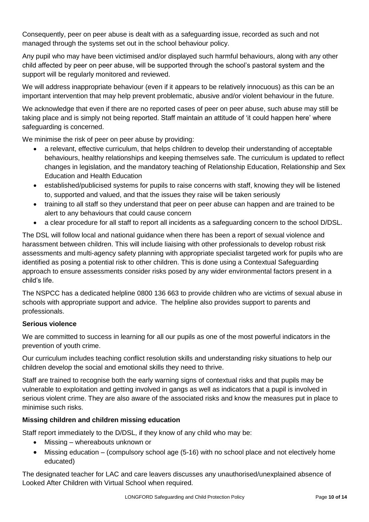Consequently, peer on peer abuse is dealt with as a safeguarding issue, recorded as such and not managed through the systems set out in the school behaviour policy.

Any pupil who may have been victimised and/or displayed such harmful behaviours, along with any other child affected by peer on peer abuse, will be supported through the school's pastoral system and the support will be regularly monitored and reviewed.

We will address inappropriate behaviour (even if it appears to be relatively innocuous) as this can be an important intervention that may help prevent problematic, abusive and/or violent behaviour in the future.

We acknowledge that even if there are no reported cases of peer on peer abuse, such abuse may still be taking place and is simply not being reported. Staff maintain an attitude of 'it could happen here' where safeguarding is concerned.

We minimise the risk of peer on peer abuse by providing:

- a relevant, effective curriculum, that helps children to develop their understanding of acceptable behaviours, healthy relationships and keeping themselves safe. The curriculum is updated to reflect changes in legislation, and the mandatory teaching of Relationship Education, Relationship and Sex Education and Health Education
- established/publicised systems for pupils to raise concerns with staff, knowing they will be listened to, supported and valued, and that the issues they raise will be taken seriously
- training to all staff so they understand that peer on peer abuse can happen and are trained to be alert to any behaviours that could cause concern
- a clear procedure for all staff to report all incidents as a safeguarding concern to the school D/DSL.

The DSL will follow local and national guidance when there has been a report of sexual violence and harassment between children. This will include liaising with other professionals to develop robust risk assessments and multi-agency safety planning with appropriate specialist targeted work for pupils who are identified as posing a potential risk to other children. This is done using a Contextual Safeguarding approach to ensure assessments consider risks posed by any wider environmental factors present in a child's life.

The NSPCC has a dedicated helpline 0800 136 663 to provide children who are victims of sexual abuse in schools with appropriate support and advice. The helpline also provides support to parents and professionals.

#### **Serious violence**

We are committed to success in learning for all our pupils as one of the most powerful indicators in the prevention of youth crime.

Our curriculum includes teaching conflict resolution skills and understanding risky situations to help our children develop the social and emotional skills they need to thrive.

Staff are trained to recognise both the early warning signs of contextual risks and that pupils may be vulnerable to exploitation and getting involved in gangs as well as indicators that a pupil is involved in serious violent crime. They are also aware of the associated risks and know the measures put in place to minimise such risks.

#### **Missing children and children missing education**

Staff report immediately to the D/DSL, if they know of any child who may be:

- Missing whereabouts unknown or
- Missing education (compulsory school age (5-16) with no school place and not electively home educated)

The designated teacher for LAC and care leavers discusses any unauthorised/unexplained absence of Looked After Children with Virtual School when required.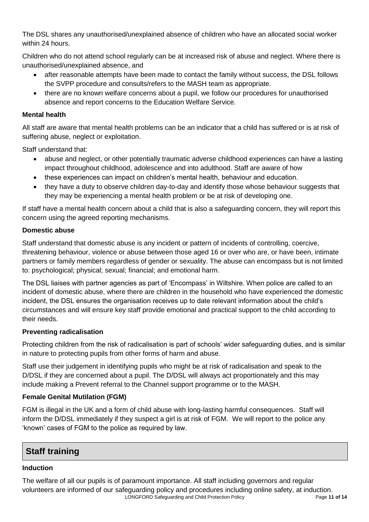The DSL shares any unauthorised/unexplained absence of children who have an allocated social worker within 24 hours.

Children who do not attend school regularly can be at increased risk of abuse and neglect. Where there is unauthorised/unexplained absence, and

- after reasonable attempts have been made to contact the family without success, the DSL follows the SVPP procedure and consults/refers to the MASH team as appropriate.
- there are no known welfare concerns about a pupil, we follow our procedures for unauthorised absence and report concerns to the Education Welfare Service.

# **Mental health**

All staff are aware that mental health problems can be an indicator that a child has suffered or is at risk of suffering abuse, neglect or exploitation.

Staff understand that:

- abuse and neglect, or other potentially traumatic adverse childhood experiences can have a lasting impact throughout childhood, adolescence and into adulthood. Staff are aware of how
- these experiences can impact on children's mental health, behaviour and education.
- they have a duty to observe children day-to-day and identify those whose behaviour suggests that they may be experiencing a mental health problem or be at risk of developing one.

If staff have a mental health concern about a child that is also a safeguarding concern, they will report this concern using the agreed reporting mechanisms.

# **Domestic abuse**

Staff understand that domestic abuse is any incident or pattern of incidents of controlling, coercive, threatening behaviour, violence or abuse between those aged 16 or over who are, or have been, intimate partners or family members regardless of gender or sexuality. The abuse can encompass but is not limited to: psychological; physical; sexual; financial; and emotional harm.

The DSL liaises with partner agencies as part of 'Encompass' in Wiltshire. When police are called to an incident of domestic abuse, where there are children in the household who have experienced the domestic incident, the DSL ensures the organisation receives up to date relevant information about the child's circumstances and will ensure key staff provide emotional and practical support to the child according to their needs.

# **Preventing radicalisation**

Protecting children from the risk of radicalisation is part of schools' wider safeguarding duties, and is similar in nature to protecting pupils from other forms of harm and abuse.

Staff use their judgement in identifying pupils who might be at risk of radicalisation and speak to the D/DSL if they are concerned about a pupil. The D/DSL will always act proportionately and this may include making a Prevent referral to the Channel support programme or to the MASH.

# **Female Genital Mutilation (FGM)**

FGM is illegal in the UK and a form of child abuse with long-lasting harmful consequences. Staff will inform the D/DSL immediately if they suspect a girl is at risk of FGM. We will report to the police any 'known' cases of FGM to the police as required by law.

# **Staff training**

### **Induction**

LONGFORD Safeguarding and Child Protection Policy Page **11 of 14** The welfare of all our pupils is of paramount importance. All staff including governors and regular volunteers are informed of our safeguarding policy and procedures including online safety, at induction.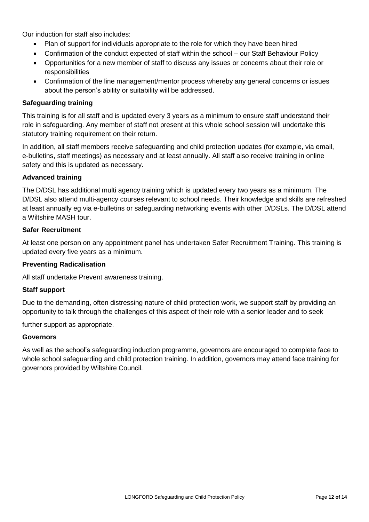Our induction for staff also includes:

- Plan of support for individuals appropriate to the role for which they have been hired
- Confirmation of the conduct expected of staff within the school our Staff Behaviour Policy
- Opportunities for a new member of staff to discuss any issues or concerns about their role or responsibilities
- Confirmation of the line management/mentor process whereby any general concerns or issues about the person's ability or suitability will be addressed.

#### **Safeguarding training**

This training is for all staff and is updated every 3 years as a minimum to ensure staff understand their role in safeguarding. Any member of staff not present at this whole school session will undertake this statutory training requirement on their return.

In addition, all staff members receive safeguarding and child protection updates (for example, via email, e-bulletins, staff meetings) as necessary and at least annually. All staff also receive training in online safety and this is updated as necessary.

#### **Advanced training**

The D/DSL has additional multi agency training which is updated every two years as a minimum. The D/DSL also attend multi-agency courses relevant to school needs. Their knowledge and skills are refreshed at least annually eg via e-bulletins or safeguarding networking events with other D/DSLs. The D/DSL attend a Wiltshire MASH tour.

#### **Safer Recruitment**

At least one person on any appointment panel has undertaken Safer Recruitment Training. This training is updated every five years as a minimum.

#### **Preventing Radicalisation**

All staff undertake Prevent awareness training.

#### **Staff support**

Due to the demanding, often distressing nature of child protection work, we support staff by providing an opportunity to talk through the challenges of this aspect of their role with a senior leader and to seek

further support as appropriate.

#### **Governors**

As well as the school's safeguarding induction programme, governors are encouraged to complete face to whole school safeguarding and child protection training. In addition, governors may attend face training for governors provided by Wiltshire Council.